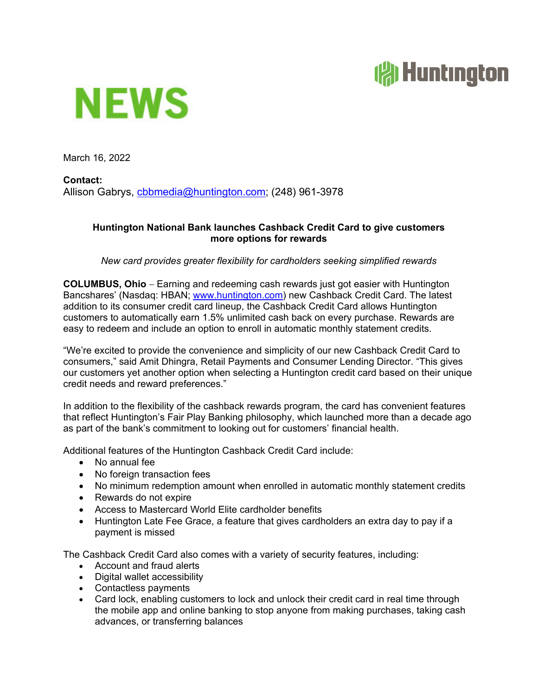## **All Huntington**



March 16, 2022

**Contact:**  Allison Gabrys, cbbmedia@huntington.com; (248) 961-3978

## **Huntington National Bank launches Cashback Credit Card to give customers more options for rewards**

*New card provides greater flexibility for cardholders seeking simplified rewards* 

**COLUMBUS, Ohio** – Earning and redeeming cash rewards just got easier with Huntington Bancshares' (Nasdaq: HBAN; www.huntington.com) new Cashback Credit Card. The latest addition to its consumer credit card lineup, the Cashback Credit Card allows Huntington customers to automatically earn 1.5% unlimited cash back on every purchase. Rewards are easy to redeem and include an option to enroll in automatic monthly statement credits.

"We're excited to provide the convenience and simplicity of our new Cashback Credit Card to consumers," said Amit Dhingra, Retail Payments and Consumer Lending Director. "This gives our customers yet another option when selecting a Huntington credit card based on their unique credit needs and reward preferences."

In addition to the flexibility of the cashback rewards program, the card has convenient features that reflect Huntington's Fair Play Banking philosophy, which launched more than a decade ago as part of the bank's commitment to looking out for customers' financial health.

Additional features of the Huntington Cashback Credit Card include:

- No annual fee
- No foreign transaction fees
- No minimum redemption amount when enrolled in automatic monthly statement credits
- Rewards do not expire
- Access to Mastercard World Elite cardholder benefits
- Huntington Late Fee Grace, a feature that gives cardholders an extra day to pay if a payment is missed

The Cashback Credit Card also comes with a variety of security features, including:

- Account and fraud alerts
- Digital wallet accessibility
- Contactless payments
- Card lock, enabling customers to lock and unlock their credit card in real time through the mobile app and online banking to stop anyone from making purchases, taking cash advances, or transferring balances